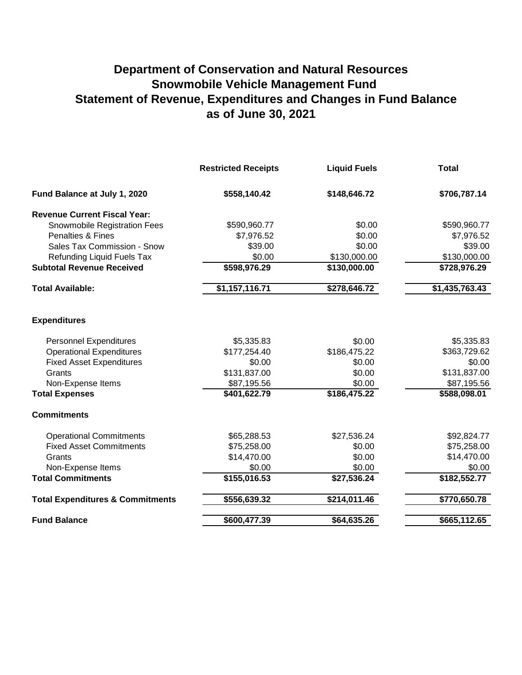## **Department of Conservation and Natural Resources Snowmobile Vehicle Management Fund Statement of Revenue, Expenditures and Changes in Fund Balance as of June 30, 2021**

|                                             | <b>Restricted Receipts</b> | <b>Liquid Fuels</b> | <b>Total</b>   |
|---------------------------------------------|----------------------------|---------------------|----------------|
| Fund Balance at July 1, 2020                | \$558,140.42               | \$148,646.72        | \$706,787.14   |
| <b>Revenue Current Fiscal Year:</b>         |                            |                     |                |
| Snowmobile Registration Fees                | \$590,960.77               | \$0.00              | \$590,960.77   |
| Penalties & Fines                           | \$7,976.52                 | \$0.00              | \$7,976.52     |
| Sales Tax Commission - Snow                 | \$39.00                    | \$0.00              | \$39.00        |
| Refunding Liquid Fuels Tax                  | \$0.00                     | \$130,000.00        | \$130,000.00   |
| <b>Subtotal Revenue Received</b>            | \$598,976.29               | \$130,000.00        | \$728,976.29   |
| <b>Total Available:</b>                     | \$1,157,116.71             | \$278,646.72        | \$1,435,763.43 |
| <b>Expenditures</b>                         |                            |                     |                |
| <b>Personnel Expenditures</b>               | \$5,335.83                 | \$0.00              | \$5,335.83     |
| <b>Operational Expenditures</b>             | \$177,254.40               | \$186,475.22        | \$363,729.62   |
| <b>Fixed Asset Expenditures</b>             | \$0.00                     | \$0.00              | \$0.00         |
| Grants                                      | \$131,837.00               | \$0.00              | \$131,837.00   |
| Non-Expense Items                           | \$87,195.56                | \$0.00              | \$87,195.56    |
| <b>Total Expenses</b>                       | \$401,622.79               | \$186,475.22        | \$588,098.01   |
| <b>Commitments</b>                          |                            |                     |                |
| <b>Operational Commitments</b>              | \$65,288.53                | \$27,536.24         | \$92,824.77    |
| <b>Fixed Asset Commitments</b>              | \$75,258.00                | \$0.00              | \$75,258.00    |
| Grants                                      | \$14,470.00                | \$0.00              | \$14,470.00    |
| Non-Expense Items                           | \$0.00                     | \$0.00              | \$0.00         |
| <b>Total Commitments</b>                    | \$155,016.53               | \$27,536.24         | \$182,552.77   |
| <b>Total Expenditures &amp; Commitments</b> | \$556,639.32               | \$214,011.46        | \$770,650.78   |
| <b>Fund Balance</b>                         | \$600,477.39               | \$64,635.26         | \$665,112.65   |